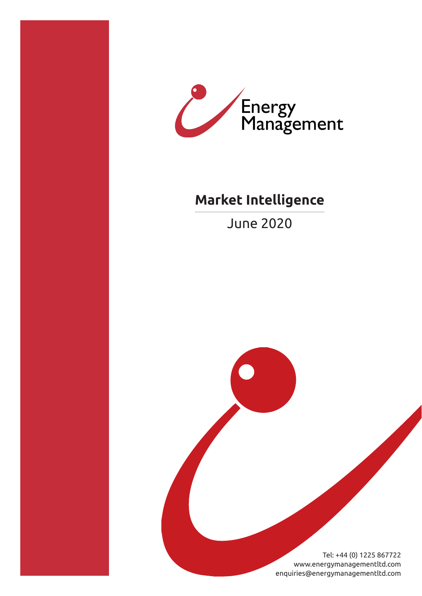



# **Market Intelligence**

June 2020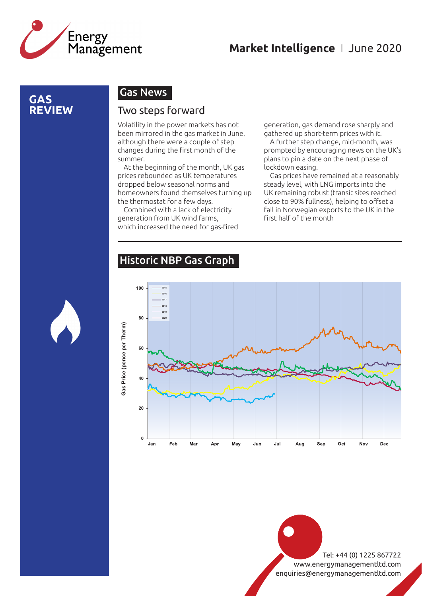

### **GAS REVIEW**

### Gas News

#### Two steps forward

Volatility in the power markets has not been mirrored in the gas market in June, although there were a couple of step changes during the first month of the summer.

At the beginning of the month, UK gas prices rebounded as UK temperatures dropped below seasonal norms and homeowners found themselves turning up the thermostat for a few days.

Combined with a lack of electricity generation from UK wind farms, which increased the need for gas-fired generation, gas demand rose sharply and gathered up short-term prices with it.

A further step change, mid-month, was prompted by encouraging news on the UK's plans to pin a date on the next phase of lockdown easing.

Gas prices have remained at a reasonably steady level, with LNG imports into the UK remaining robust (transit sites reached close to 90% fullness), helping to offset a fall in Norwegian exports to the UK in the first half of the month

## Historic NBP Gas Graph



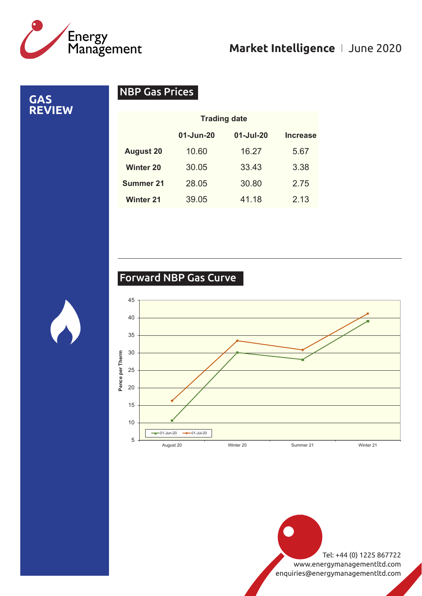

**GAS REVIEW**

# NBP Gas Prices

|                  | <b>Trading date</b> |               |                 |
|------------------|---------------------|---------------|-----------------|
|                  | 01-Jun-20           | $01 -$ Jul-20 | <b>Increase</b> |
| <b>August 20</b> | 10.60               | 16.27         | 5.67            |
| <b>Winter 20</b> | 30.05               | 33.43         | 3.38            |
| <b>Summer 21</b> | 28.05               | 30.80         | 2.75            |
| <b>Winter 21</b> | 39.05               | 41.18         | 2.13            |

# Forward NBP Gas Curve

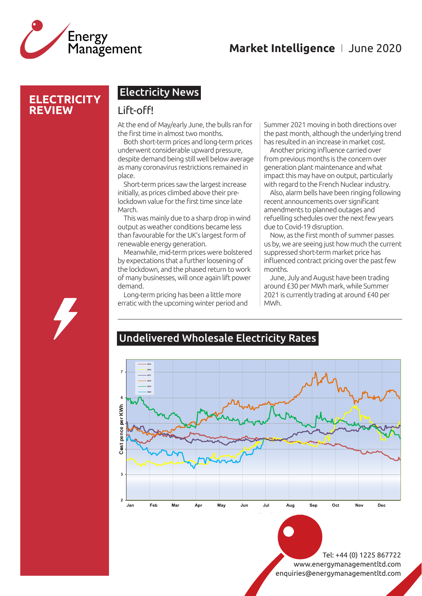

### **ELECTRICITY REVIEW**

### Electricity News

#### Lift-off!

At the end of May/early June, the bulls ran for the first time in almost two months.

Both short-term prices and long-term prices underwent considerable upward pressure, despite demand being still well below average as many coronavirus restrictions remained in place.

Short-term prices saw the largest increase initially, as prices climbed above their prelockdown value for the first time since late March.

This was mainly due to a sharp drop in wind output as weather conditions became less than favourable for the UK's largest form of renewable energy generation.

Meanwhile, mid-term prices were bolstered by expectations that a further loosening of the lockdown, and the phased return to work of many businesses, will once again lift power demand.

Long-term pricing has been a little more erratic with the upcoming winter period and

Summer 2021 moving in both directions over the past month, although the underlying trend has resulted in an increase in market cost.

Another pricing influence carried over from previous months is the concern over generation plant maintenance and what impact this may have on output, particularly with regard to the French Nuclear industry.

Also, alarm bells have been ringing following recent announcements over significant amendments to planned outages and refuelling schedules over the next few years due to Covid-19 disruption.

Now, as the first month of summer passes us by, we are seeing just how much the current suppressed short-term market price has influenced contract pricing over the past few months.

June, July and August have been trading around £30 per MWh mark, while Summer 2021 is currently trading at around £40 per MWh.

#### Undelivered Wholesale Electricity Rates **Undelivered Wholesale Year Ahead Electricity**

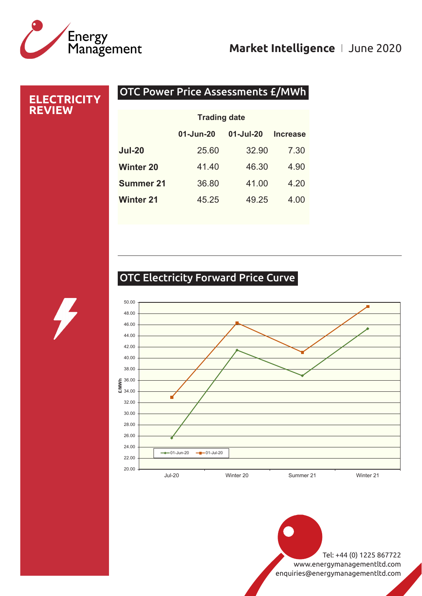

# OTC Power Price Assessments £/MWh **ELECTRICITY REVIEW 01-Jun-20 01-Jul-20 Increase Jul-20** 25.60 32.90 7.30 **Winter 20** 41.40 46.30 4.90 **Summer 21** 36.80 41.00 4.20 **Winter 21** 45.25 49.25 4.00 **Trading date**

# OTC Electricity Forward Price Curve